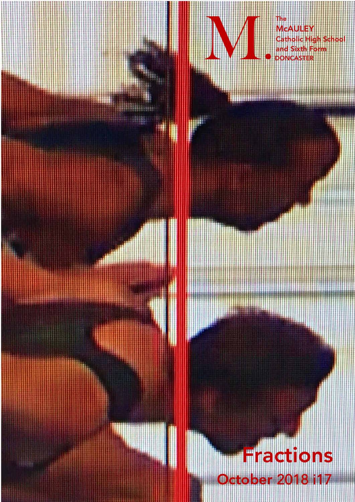